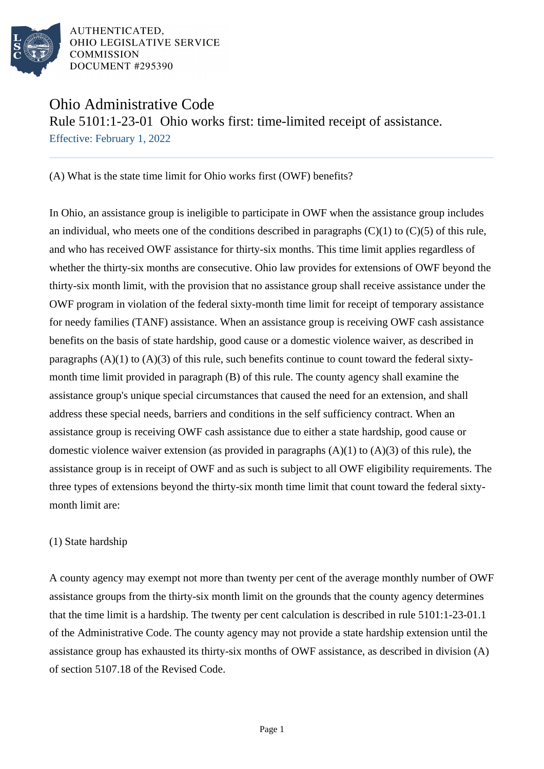

# Ohio Administrative Code

Rule 5101:1-23-01 Ohio works first: time-limited receipt of assistance.

Effective: February 1, 2022

(A) What is the state time limit for Ohio works first (OWF) benefits?

In Ohio, an assistance group is ineligible to participate in OWF when the assistance group includes an individual, who meets one of the conditions described in paragraphs  $(C)(1)$  to  $(C)(5)$  of this rule, and who has received OWF assistance for thirty-six months. This time limit applies regardless of whether the thirty-six months are consecutive. Ohio law provides for extensions of OWF beyond the thirty-six month limit, with the provision that no assistance group shall receive assistance under the OWF program in violation of the federal sixty-month time limit for receipt of temporary assistance for needy families (TANF) assistance. When an assistance group is receiving OWF cash assistance benefits on the basis of state hardship, good cause or a domestic violence waiver, as described in paragraphs  $(A)(1)$  to  $(A)(3)$  of this rule, such benefits continue to count toward the federal sixtymonth time limit provided in paragraph (B) of this rule. The county agency shall examine the assistance group's unique special circumstances that caused the need for an extension, and shall address these special needs, barriers and conditions in the self sufficiency contract. When an assistance group is receiving OWF cash assistance due to either a state hardship, good cause or domestic violence waiver extension (as provided in paragraphs  $(A)(1)$  to  $(A)(3)$  of this rule), the assistance group is in receipt of OWF and as such is subject to all OWF eligibility requirements. The three types of extensions beyond the thirty-six month time limit that count toward the federal sixtymonth limit are:

## (1) State hardship

A county agency may exempt not more than twenty per cent of the average monthly number of OWF assistance groups from the thirty-six month limit on the grounds that the county agency determines that the time limit is a hardship. The twenty per cent calculation is described in rule 5101:1-23-01.1 of the Administrative Code. The county agency may not provide a state hardship extension until the assistance group has exhausted its thirty-six months of OWF assistance, as described in division (A) of section 5107.18 of the Revised Code.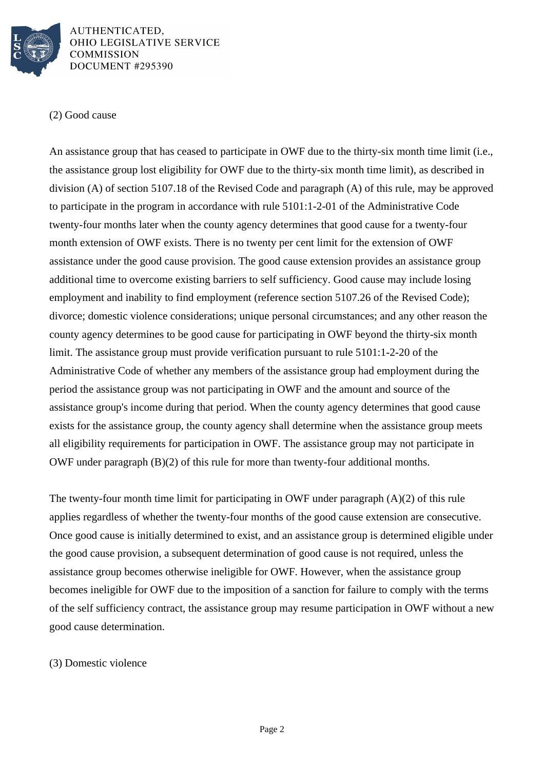

## (2) Good cause

An assistance group that has ceased to participate in OWF due to the thirty-six month time limit (i.e., the assistance group lost eligibility for OWF due to the thirty-six month time limit), as described in division (A) of section 5107.18 of the Revised Code and paragraph (A) of this rule, may be approved to participate in the program in accordance with rule 5101:1-2-01 of the Administrative Code twenty-four months later when the county agency determines that good cause for a twenty-four month extension of OWF exists. There is no twenty per cent limit for the extension of OWF assistance under the good cause provision. The good cause extension provides an assistance group additional time to overcome existing barriers to self sufficiency. Good cause may include losing employment and inability to find employment (reference section 5107.26 of the Revised Code); divorce; domestic violence considerations; unique personal circumstances; and any other reason the county agency determines to be good cause for participating in OWF beyond the thirty-six month limit. The assistance group must provide verification pursuant to rule 5101:1-2-20 of the Administrative Code of whether any members of the assistance group had employment during the period the assistance group was not participating in OWF and the amount and source of the assistance group's income during that period. When the county agency determines that good cause exists for the assistance group, the county agency shall determine when the assistance group meets all eligibility requirements for participation in OWF. The assistance group may not participate in OWF under paragraph (B)(2) of this rule for more than twenty-four additional months.

The twenty-four month time limit for participating in OWF under paragraph (A)(2) of this rule applies regardless of whether the twenty-four months of the good cause extension are consecutive. Once good cause is initially determined to exist, and an assistance group is determined eligible under the good cause provision, a subsequent determination of good cause is not required, unless the assistance group becomes otherwise ineligible for OWF. However, when the assistance group becomes ineligible for OWF due to the imposition of a sanction for failure to comply with the terms of the self sufficiency contract, the assistance group may resume participation in OWF without a new good cause determination.

## (3) Domestic violence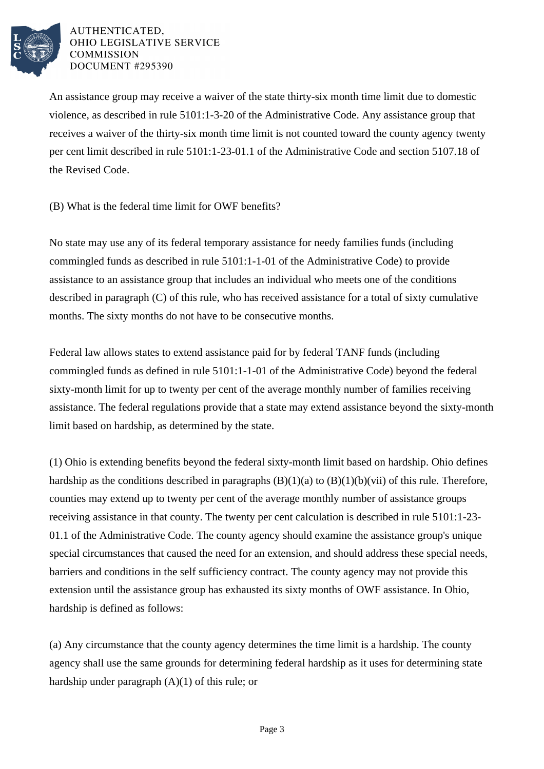

An assistance group may receive a waiver of the state thirty-six month time limit due to domestic violence, as described in rule 5101:1-3-20 of the Administrative Code. Any assistance group that receives a waiver of the thirty-six month time limit is not counted toward the county agency twenty per cent limit described in rule 5101:1-23-01.1 of the Administrative Code and section 5107.18 of the Revised Code.

(B) What is the federal time limit for OWF benefits?

No state may use any of its federal temporary assistance for needy families funds (including commingled funds as described in rule 5101:1-1-01 of the Administrative Code) to provide assistance to an assistance group that includes an individual who meets one of the conditions described in paragraph (C) of this rule, who has received assistance for a total of sixty cumulative months. The sixty months do not have to be consecutive months.

Federal law allows states to extend assistance paid for by federal TANF funds (including commingled funds as defined in rule 5101:1-1-01 of the Administrative Code) beyond the federal sixty-month limit for up to twenty per cent of the average monthly number of families receiving assistance. The federal regulations provide that a state may extend assistance beyond the sixty-month limit based on hardship, as determined by the state.

(1) Ohio is extending benefits beyond the federal sixty-month limit based on hardship. Ohio defines hardship as the conditions described in paragraphs  $(B)(1)(a)$  to  $(B)(1)(b)(vii)$  of this rule. Therefore, counties may extend up to twenty per cent of the average monthly number of assistance groups receiving assistance in that county. The twenty per cent calculation is described in rule 5101:1-23- 01.1 of the Administrative Code. The county agency should examine the assistance group's unique special circumstances that caused the need for an extension, and should address these special needs, barriers and conditions in the self sufficiency contract. The county agency may not provide this extension until the assistance group has exhausted its sixty months of OWF assistance. In Ohio, hardship is defined as follows:

(a) Any circumstance that the county agency determines the time limit is a hardship. The county agency shall use the same grounds for determining federal hardship as it uses for determining state hardship under paragraph  $(A)(1)$  of this rule; or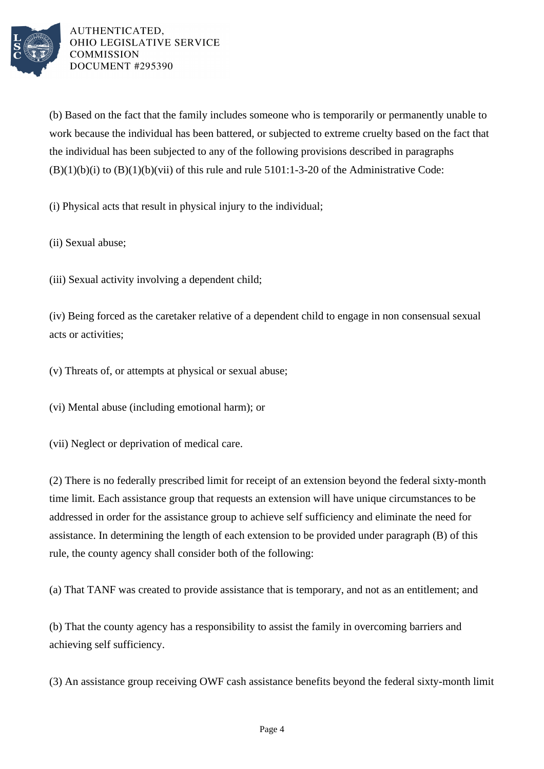

(b) Based on the fact that the family includes someone who is temporarily or permanently unable to work because the individual has been battered, or subjected to extreme cruelty based on the fact that the individual has been subjected to any of the following provisions described in paragraphs  $(B)(1)(b)(i)$  to  $(B)(1)(b)(vii)$  of this rule and rule 5101:1-3-20 of the Administrative Code:

(i) Physical acts that result in physical injury to the individual;

(ii) Sexual abuse;

(iii) Sexual activity involving a dependent child;

(iv) Being forced as the caretaker relative of a dependent child to engage in non consensual sexual acts or activities;

(v) Threats of, or attempts at physical or sexual abuse;

(vi) Mental abuse (including emotional harm); or

(vii) Neglect or deprivation of medical care.

(2) There is no federally prescribed limit for receipt of an extension beyond the federal sixty-month time limit. Each assistance group that requests an extension will have unique circumstances to be addressed in order for the assistance group to achieve self sufficiency and eliminate the need for assistance. In determining the length of each extension to be provided under paragraph (B) of this rule, the county agency shall consider both of the following:

(a) That TANF was created to provide assistance that is temporary, and not as an entitlement; and

(b) That the county agency has a responsibility to assist the family in overcoming barriers and achieving self sufficiency.

(3) An assistance group receiving OWF cash assistance benefits beyond the federal sixty-month limit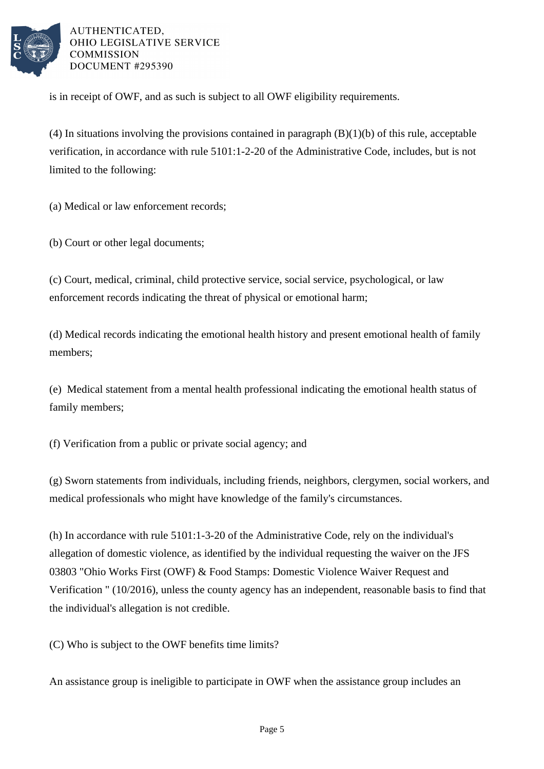

is in receipt of OWF, and as such is subject to all OWF eligibility requirements.

(4) In situations involving the provisions contained in paragraph (B)(1)(b) of this rule, acceptable verification, in accordance with rule 5101:1-2-20 of the Administrative Code, includes, but is not limited to the following:

(a) Medical or law enforcement records;

(b) Court or other legal documents;

(c) Court, medical, criminal, child protective service, social service, psychological, or law enforcement records indicating the threat of physical or emotional harm;

(d) Medical records indicating the emotional health history and present emotional health of family members;

(e) Medical statement from a mental health professional indicating the emotional health status of family members;

(f) Verification from a public or private social agency; and

(g) Sworn statements from individuals, including friends, neighbors, clergymen, social workers, and medical professionals who might have knowledge of the family's circumstances.

(h) In accordance with rule 5101:1-3-20 of the Administrative Code, rely on the individual's allegation of domestic violence, as identified by the individual requesting the waiver on the JFS 03803 "Ohio Works First (OWF) & Food Stamps: Domestic Violence Waiver Request and Verification " (10/2016), unless the county agency has an independent, reasonable basis to find that the individual's allegation is not credible.

(C) Who is subject to the OWF benefits time limits?

An assistance group is ineligible to participate in OWF when the assistance group includes an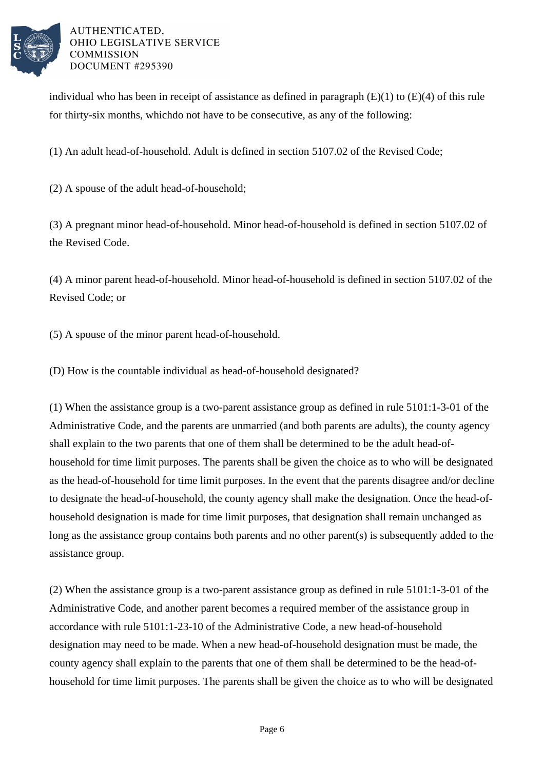

individual who has been in receipt of assistance as defined in paragraph  $(E)(1)$  to  $(E)(4)$  of this rule for thirty-six months, whichdo not have to be consecutive, as any of the following:

(1) An adult head-of-household. Adult is defined in section 5107.02 of the Revised Code;

(2) A spouse of the adult head-of-household;

(3) A pregnant minor head-of-household. Minor head-of-household is defined in section 5107.02 of the Revised Code.

(4) A minor parent head-of-household. Minor head-of-household is defined in section 5107.02 of the Revised Code; or

(5) A spouse of the minor parent head-of-household.

(D) How is the countable individual as head-of-household designated?

(1) When the assistance group is a two-parent assistance group as defined in rule 5101:1-3-01 of the Administrative Code, and the parents are unmarried (and both parents are adults), the county agency shall explain to the two parents that one of them shall be determined to be the adult head-ofhousehold for time limit purposes. The parents shall be given the choice as to who will be designated as the head-of-household for time limit purposes. In the event that the parents disagree and/or decline to designate the head-of-household, the county agency shall make the designation. Once the head-ofhousehold designation is made for time limit purposes, that designation shall remain unchanged as long as the assistance group contains both parents and no other parent(s) is subsequently added to the assistance group.

(2) When the assistance group is a two-parent assistance group as defined in rule 5101:1-3-01 of the Administrative Code, and another parent becomes a required member of the assistance group in accordance with rule 5101:1-23-10 of the Administrative Code, a new head-of-household designation may need to be made. When a new head-of-household designation must be made, the county agency shall explain to the parents that one of them shall be determined to be the head-ofhousehold for time limit purposes. The parents shall be given the choice as to who will be designated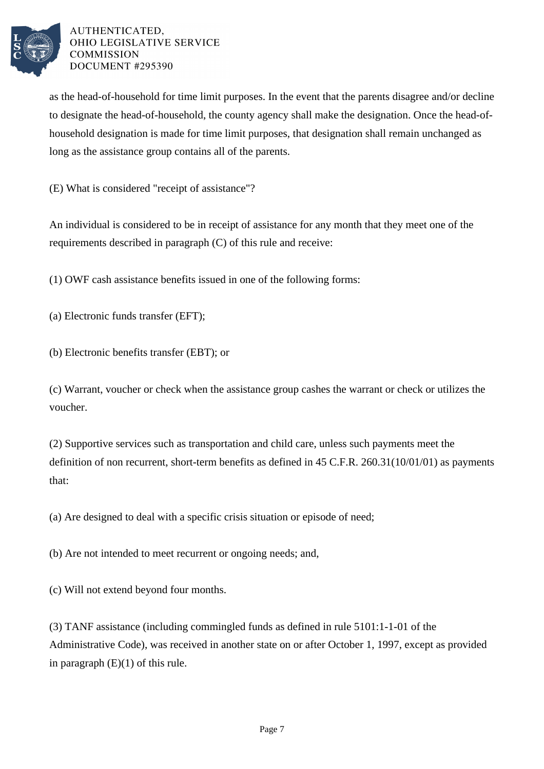

as the head-of-household for time limit purposes. In the event that the parents disagree and/or decline to designate the head-of-household, the county agency shall make the designation. Once the head-ofhousehold designation is made for time limit purposes, that designation shall remain unchanged as long as the assistance group contains all of the parents.

(E) What is considered "receipt of assistance"?

An individual is considered to be in receipt of assistance for any month that they meet one of the requirements described in paragraph (C) of this rule and receive:

(1) OWF cash assistance benefits issued in one of the following forms:

- (a) Electronic funds transfer (EFT);
- (b) Electronic benefits transfer (EBT); or

(c) Warrant, voucher or check when the assistance group cashes the warrant or check or utilizes the voucher.

(2) Supportive services such as transportation and child care, unless such payments meet the definition of non recurrent, short-term benefits as defined in 45 C.F.R. 260.31(10/01/01) as payments that:

(a) Are designed to deal with a specific crisis situation or episode of need;

(b) Are not intended to meet recurrent or ongoing needs; and,

(c) Will not extend beyond four months.

(3) TANF assistance (including commingled funds as defined in rule 5101:1-1-01 of the Administrative Code), was received in another state on or after October 1, 1997, except as provided in paragraph (E)(1) of this rule.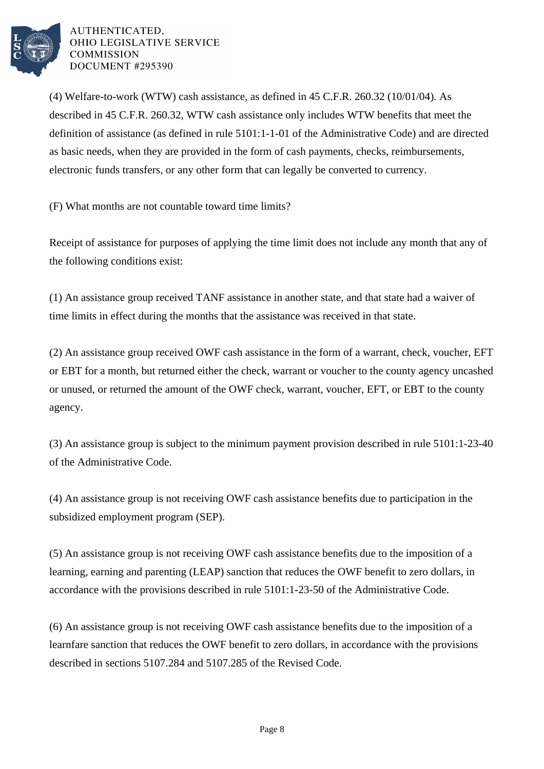

(4) Welfare-to-work (WTW) cash assistance, as defined in 45 C.F.R. 260.32 (10/01/04). As described in 45 C.F.R. 260.32, WTW cash assistance only includes WTW benefits that meet the definition of assistance (as defined in rule 5101:1-1-01 of the Administrative Code) and are directed as basic needs, when they are provided in the form of cash payments, checks, reimbursements, electronic funds transfers, or any other form that can legally be converted to currency.

(F) What months are not countable toward time limits?

Receipt of assistance for purposes of applying the time limit does not include any month that any of the following conditions exist:

(1) An assistance group received TANF assistance in another state, and that state had a waiver of time limits in effect during the months that the assistance was received in that state.

(2) An assistance group received OWF cash assistance in the form of a warrant, check, voucher, EFT or EBT for a month, but returned either the check, warrant or voucher to the county agency uncashed or unused, or returned the amount of the OWF check, warrant, voucher, EFT, or EBT to the county agency.

(3) An assistance group is subject to the minimum payment provision described in rule 5101:1-23-40 of the Administrative Code.

(4) An assistance group is not receiving OWF cash assistance benefits due to participation in the subsidized employment program (SEP).

(5) An assistance group is not receiving OWF cash assistance benefits due to the imposition of a learning, earning and parenting (LEAP) sanction that reduces the OWF benefit to zero dollars, in accordance with the provisions described in rule 5101:1-23-50 of the Administrative Code.

(6) An assistance group is not receiving OWF cash assistance benefits due to the imposition of a learnfare sanction that reduces the OWF benefit to zero dollars, in accordance with the provisions described in sections 5107.284 and 5107.285 of the Revised Code.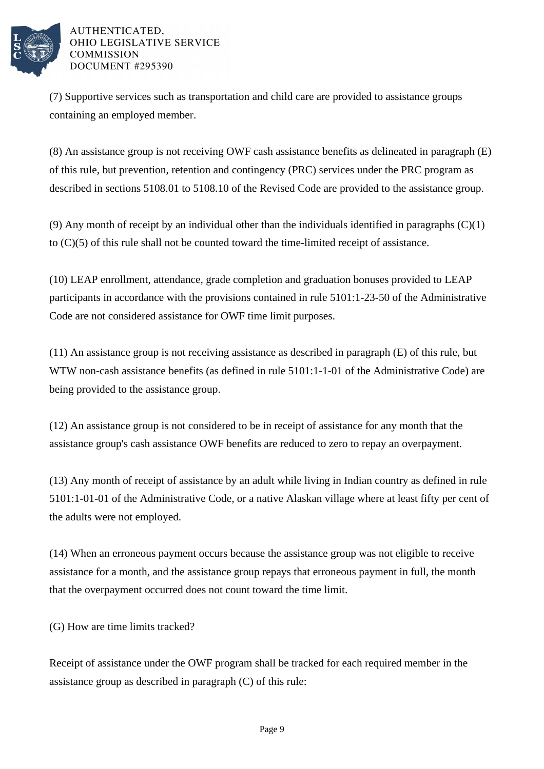

(7) Supportive services such as transportation and child care are provided to assistance groups containing an employed member.

(8) An assistance group is not receiving OWF cash assistance benefits as delineated in paragraph (E) of this rule, but prevention, retention and contingency (PRC) services under the PRC program as described in sections 5108.01 to 5108.10 of the Revised Code are provided to the assistance group.

(9) Any month of receipt by an individual other than the individuals identified in paragraphs  $(C)(1)$ to  $(C)(5)$  of this rule shall not be counted toward the time-limited receipt of assistance.

(10) LEAP enrollment, attendance, grade completion and graduation bonuses provided to LEAP participants in accordance with the provisions contained in rule 5101:1-23-50 of the Administrative Code are not considered assistance for OWF time limit purposes.

(11) An assistance group is not receiving assistance as described in paragraph (E) of this rule, but WTW non-cash assistance benefits (as defined in rule 5101:1-1-01 of the Administrative Code) are being provided to the assistance group.

(12) An assistance group is not considered to be in receipt of assistance for any month that the assistance group's cash assistance OWF benefits are reduced to zero to repay an overpayment.

(13) Any month of receipt of assistance by an adult while living in Indian country as defined in rule 5101:1-01-01 of the Administrative Code, or a native Alaskan village where at least fifty per cent of the adults were not employed.

(14) When an erroneous payment occurs because the assistance group was not eligible to receive assistance for a month, and the assistance group repays that erroneous payment in full, the month that the overpayment occurred does not count toward the time limit.

(G) How are time limits tracked?

Receipt of assistance under the OWF program shall be tracked for each required member in the assistance group as described in paragraph (C) of this rule: